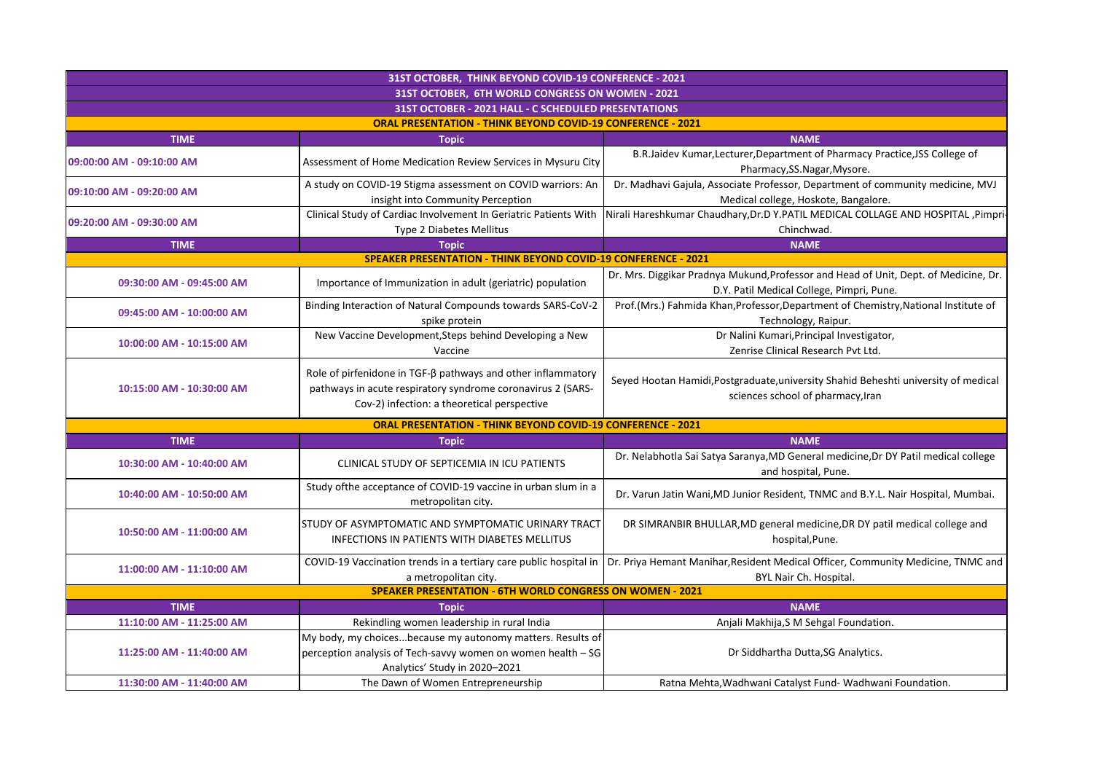| 31ST OCTOBER, THINK BEYOND COVID-19 CONFERENCE - 2021                 |                                                                                                                                                                            |                                                                                                                                   |  |  |
|-----------------------------------------------------------------------|----------------------------------------------------------------------------------------------------------------------------------------------------------------------------|-----------------------------------------------------------------------------------------------------------------------------------|--|--|
| 31ST OCTOBER, 6TH WORLD CONGRESS ON WOMEN - 2021                      |                                                                                                                                                                            |                                                                                                                                   |  |  |
| 31ST OCTOBER - 2021 HALL - C SCHEDULED PRESENTATIONS                  |                                                                                                                                                                            |                                                                                                                                   |  |  |
| <b>ORAL PRESENTATION - THINK BEYOND COVID-19 CONFERENCE - 2021</b>    |                                                                                                                                                                            |                                                                                                                                   |  |  |
| <b>TIME</b>                                                           | <b>Topic</b>                                                                                                                                                               | <b>NAME</b>                                                                                                                       |  |  |
| 09:00:00 AM - 09:10:00 AM                                             | Assessment of Home Medication Review Services in Mysuru City                                                                                                               | B.R.Jaidev Kumar, Lecturer, Department of Pharmacy Practice, JSS College of<br>Pharmacy, SS. Nagar, Mysore.                       |  |  |
| 09:10:00 AM - 09:20:00 AM                                             | A study on COVID-19 Stigma assessment on COVID warriors: An<br>insight into Community Perception                                                                           | Dr. Madhavi Gajula, Associate Professor, Department of community medicine, MVJ<br>Medical college, Hoskote, Bangalore.            |  |  |
| 09:20:00 AM - 09:30:00 AM                                             | Clinical Study of Cardiac Involvement In Geriatric Patients With<br>Type 2 Diabetes Mellitus                                                                               | Nirali Hareshkumar Chaudhary, Dr.D Y.PATIL MEDICAL COLLAGE AND HOSPITAL , Pimpri-<br>Chinchwad.                                   |  |  |
| <b>TIME</b>                                                           | <b>Topic</b>                                                                                                                                                               | <b>NAME</b>                                                                                                                       |  |  |
| <b>SPEAKER PRESENTATION - THINK BEYOND COVID-19 CONFERENCE - 2021</b> |                                                                                                                                                                            |                                                                                                                                   |  |  |
| 09:30:00 AM - 09:45:00 AM                                             | Importance of Immunization in adult (geriatric) population                                                                                                                 | Dr. Mrs. Diggikar Pradnya Mukund, Professor and Head of Unit, Dept. of Medicine, Dr.<br>D.Y. Patil Medical College, Pimpri, Pune. |  |  |
| 09:45:00 AM - 10:00:00 AM                                             | Binding Interaction of Natural Compounds towards SARS-CoV-2<br>spike protein                                                                                               | Prof.(Mrs.) Fahmida Khan, Professor, Department of Chemistry, National Institute of<br>Technology, Raipur.                        |  |  |
| 10:00:00 AM - 10:15:00 AM                                             | New Vaccine Development, Steps behind Developing a New<br>Vaccine                                                                                                          | Dr Nalini Kumari, Principal Investigator,<br>Zenrise Clinical Research Pvt Ltd.                                                   |  |  |
| 10:15:00 AM - 10:30:00 AM                                             | Role of pirfenidone in TGF-ß pathways and other inflammatory<br>pathways in acute respiratory syndrome coronavirus 2 (SARS-<br>Cov-2) infection: a theoretical perspective | Seyed Hootan Hamidi, Postgraduate, university Shahid Beheshti university of medical<br>sciences school of pharmacy, Iran          |  |  |
|                                                                       | <b>ORAL PRESENTATION - THINK BEYOND COVID-19 CONFERENCE - 2021</b>                                                                                                         |                                                                                                                                   |  |  |
| <b>TIME</b>                                                           | <b>Topic</b>                                                                                                                                                               | <b>NAME</b>                                                                                                                       |  |  |
| 10:30:00 AM - 10:40:00 AM                                             | CLINICAL STUDY OF SEPTICEMIA IN ICU PATIENTS                                                                                                                               | Dr. Nelabhotla Sai Satya Saranya, MD General medicine, Dr DY Patil medical college<br>and hospital, Pune.                         |  |  |
| 10:40:00 AM - 10:50:00 AM                                             | Study of the acceptance of COVID-19 vaccine in urban slum in a<br>metropolitan city.                                                                                       | Dr. Varun Jatin Wani, MD Junior Resident, TNMC and B.Y.L. Nair Hospital, Mumbai.                                                  |  |  |
| 10:50:00 AM - 11:00:00 AM                                             | STUDY OF ASYMPTOMATIC AND SYMPTOMATIC URINARY TRACT<br><b>INFECTIONS IN PATIENTS WITH DIABETES MELLITUS</b>                                                                | DR SIMRANBIR BHULLAR, MD general medicine, DR DY patil medical college and<br>hospital, Pune.                                     |  |  |
| 11:00:00 AM - 11:10:00 AM                                             | COVID-19 Vaccination trends in a tertiary care public hospital in<br>a metropolitan city.                                                                                  | Dr. Priya Hemant Manihar, Resident Medical Officer, Community Medicine, TNMC and<br>BYL Nair Ch. Hospital.                        |  |  |
| <b>SPEAKER PRESENTATION - 6TH WORLD CONGRESS ON WOMEN - 2021</b>      |                                                                                                                                                                            |                                                                                                                                   |  |  |
| <b>TIME</b>                                                           | <b>Topic</b>                                                                                                                                                               | <b>NAME</b>                                                                                                                       |  |  |
| 11:10:00 AM - 11:25:00 AM                                             | Rekindling women leadership in rural India                                                                                                                                 | Anjali Makhija, S M Sehgal Foundation.                                                                                            |  |  |
| 11:25:00 AM - 11:40:00 AM                                             | My body, my choicesbecause my autonomy matters. Results of<br>perception analysis of Tech-savvy women on women health - SG<br>Analytics' Study in 2020-2021                | Dr Siddhartha Dutta, SG Analytics.                                                                                                |  |  |
| 11:30:00 AM - 11:40:00 AM                                             | The Dawn of Women Entrepreneurship                                                                                                                                         | Ratna Mehta, Wadhwani Catalyst Fund-Wadhwani Foundation.                                                                          |  |  |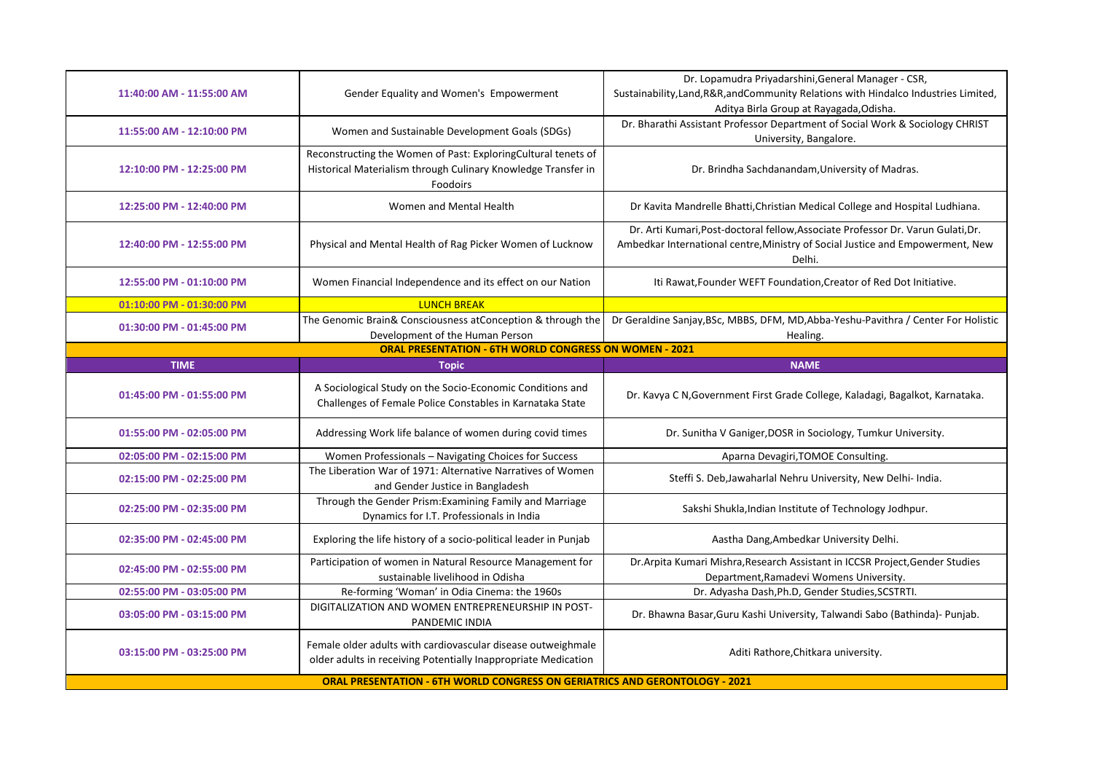| 11:55:00 AM - 12:10:00 PM                                     | Women and Sustainable Development Goals (SDGs)<br>Reconstructing the Women of Past: ExploringCultural tenets of                                                                                                      | Dr. Bharathi Assistant Professor Department of Social Work & Sociology CHRIST<br>University, Bangalore.                                                                      |  |  |
|---------------------------------------------------------------|----------------------------------------------------------------------------------------------------------------------------------------------------------------------------------------------------------------------|------------------------------------------------------------------------------------------------------------------------------------------------------------------------------|--|--|
|                                                               |                                                                                                                                                                                                                      |                                                                                                                                                                              |  |  |
| 12:10:00 PM - 12:25:00 PM                                     | Historical Materialism through Culinary Knowledge Transfer in<br>Foodoirs                                                                                                                                            | Dr. Brindha Sachdanandam, University of Madras.                                                                                                                              |  |  |
| 12:25:00 PM - 12:40:00 PM                                     | Women and Mental Health                                                                                                                                                                                              | Dr Kavita Mandrelle Bhatti, Christian Medical College and Hospital Ludhiana.                                                                                                 |  |  |
| 12:40:00 PM - 12:55:00 PM                                     | Physical and Mental Health of Rag Picker Women of Lucknow                                                                                                                                                            | Dr. Arti Kumari, Post-doctoral fellow, Associate Professor Dr. Varun Gulati, Dr.<br>Ambedkar International centre, Ministry of Social Justice and Empowerment, New<br>Delhi. |  |  |
| 12:55:00 PM - 01:10:00 PM                                     | Women Financial Independence and its effect on our Nation                                                                                                                                                            | Iti Rawat, Founder WEFT Foundation, Creator of Red Dot Initiative.                                                                                                           |  |  |
| 01:10:00 PM - 01:30:00 PM                                     | <b>LUNCH BREAK</b>                                                                                                                                                                                                   |                                                                                                                                                                              |  |  |
| 01:30:00 PM - 01:45:00 PM                                     | The Genomic Brain& Consciousness atConception & through the<br>Development of the Human Person                                                                                                                       | Dr Geraldine Sanjay, BSc, MBBS, DFM, MD, Abba-Yeshu-Pavithra / Center For Holistic<br>Healing.                                                                               |  |  |
| <b>ORAL PRESENTATION - 6TH WORLD CONGRESS ON WOMEN - 2021</b> |                                                                                                                                                                                                                      |                                                                                                                                                                              |  |  |
| <b>TIME</b>                                                   | <b>Topic</b>                                                                                                                                                                                                         | <b>NAME</b>                                                                                                                                                                  |  |  |
| 01:45:00 PM - 01:55:00 PM                                     | A Sociological Study on the Socio-Economic Conditions and<br>Challenges of Female Police Constables in Karnataka State                                                                                               | Dr. Kavya C N, Government First Grade College, Kaladagi, Bagalkot, Karnataka.                                                                                                |  |  |
| 01:55:00 PM - 02:05:00 PM                                     | Addressing Work life balance of women during covid times                                                                                                                                                             | Dr. Sunitha V Ganiger, DOSR in Sociology, Tumkur University.                                                                                                                 |  |  |
| 02:05:00 PM - 02:15:00 PM                                     | Women Professionals - Navigating Choices for Success                                                                                                                                                                 | Aparna Devagiri, TOMOE Consulting.                                                                                                                                           |  |  |
| 02:15:00 PM - 02:25:00 PM                                     | The Liberation War of 1971: Alternative Narratives of Women<br>and Gender Justice in Bangladesh                                                                                                                      | Steffi S. Deb, Jawaharlal Nehru University, New Delhi- India.                                                                                                                |  |  |
| 02:25:00 PM - 02:35:00 PM                                     | Through the Gender Prism: Examining Family and Marriage<br>Dynamics for I.T. Professionals in India                                                                                                                  | Sakshi Shukla, Indian Institute of Technology Jodhpur.                                                                                                                       |  |  |
| 02:35:00 PM - 02:45:00 PM                                     | Exploring the life history of a socio-political leader in Punjab                                                                                                                                                     | Aastha Dang, Ambedkar University Delhi.                                                                                                                                      |  |  |
| 02:45:00 PM - 02:55:00 PM                                     | Participation of women in Natural Resource Management for<br>sustainable livelihood in Odisha                                                                                                                        | Dr. Arpita Kumari Mishra, Research Assistant in ICCSR Project, Gender Studies<br>Department, Ramadevi Womens University.                                                     |  |  |
| 02:55:00 PM - 03:05:00 PM                                     | Re-forming 'Woman' in Odia Cinema: the 1960s                                                                                                                                                                         | Dr. Adyasha Dash, Ph.D, Gender Studies, SCSTRTI.                                                                                                                             |  |  |
| 03:05:00 PM - 03:15:00 PM                                     | DIGITALIZATION AND WOMEN ENTREPRENEURSHIP IN POST-<br>PANDEMIC INDIA                                                                                                                                                 | Dr. Bhawna Basar, Guru Kashi University, Talwandi Sabo (Bathinda) - Punjab.                                                                                                  |  |  |
| 03:15:00 PM - 03:25:00 PM                                     | Female older adults with cardiovascular disease outweighmale<br>older adults in receiving Potentially Inappropriate Medication<br><b>ORAL PRESENTATION - 6TH WORLD CONGRESS ON GERIATRICS AND GERONTOLOGY - 2021</b> | Aditi Rathore, Chitkara university.                                                                                                                                          |  |  |